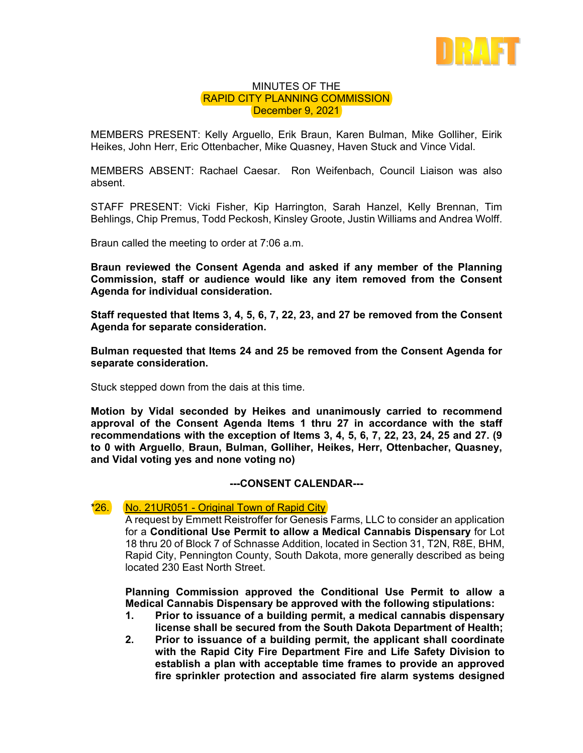

## MINUTES OF THE RAPID CITY PLANNING COMMISSION December 9, 2021

MEMBERS PRESENT: Kelly Arguello, Erik Braun, Karen Bulman, Mike Golliher, Eirik Heikes, John Herr, Eric Ottenbacher, Mike Quasney, Haven Stuck and Vince Vidal.

MEMBERS ABSENT: Rachael Caesar. Ron Weifenbach, Council Liaison was also absent.

STAFF PRESENT: Vicki Fisher, Kip Harrington, Sarah Hanzel, Kelly Brennan, Tim Behlings, Chip Premus, Todd Peckosh, Kinsley Groote, Justin Williams and Andrea Wolff.

Braun called the meeting to order at 7:06 a.m.

**Braun reviewed the Consent Agenda and asked if any member of the Planning Commission, staff or audience would like any item removed from the Consent Agenda for individual consideration.** 

**Staff requested that Items 3, 4, 5, 6, 7, 22, 23, and 27 be removed from the Consent Agenda for separate consideration.** 

**Bulman requested that Items 24 and 25 be removed from the Consent Agenda for separate consideration.** 

Stuck stepped down from the dais at this time.

**Motion by Vidal seconded by Heikes and unanimously carried to recommend approval of the Consent Agenda Items 1 thru 27 in accordance with the staff recommendations with the exception of Items 3, 4, 5, 6, 7, 22, 23, 24, 25 and 27. (9 to 0 with Arguello**, **Braun, Bulman, Golliher, Heikes, Herr, Ottenbacher, Quasney, and Vidal voting yes and none voting no)** 

## **---CONSENT CALENDAR---**

## \*26. No. 21UR051 - Original Town of Rapid City

A request by Emmett Reistroffer for Genesis Farms, LLC to consider an application for a **Conditional Use Permit to allow a Medical Cannabis Dispensary** for Lot 18 thru 20 of Block 7 of Schnasse Addition, located in Section 31, T2N, R8E, BHM, Rapid City, Pennington County, South Dakota, more generally described as being located 230 East North Street.

**Planning Commission approved the Conditional Use Permit to allow a Medical Cannabis Dispensary be approved with the following stipulations:** 

- **1. Prior to issuance of a building permit, a medical cannabis dispensary license shall be secured from the South Dakota Department of Health;**
- **2. Prior to issuance of a building permit, the applicant shall coordinate with the Rapid City Fire Department Fire and Life Safety Division to establish a plan with acceptable time frames to provide an approved fire sprinkler protection and associated fire alarm systems designed**